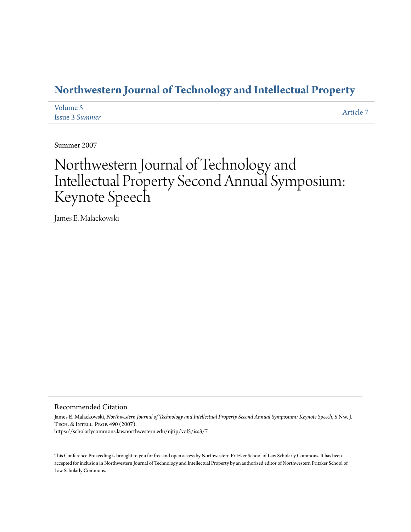### **[Northwestern Journal of Technology and Intellectual Property](https://scholarlycommons.law.northwestern.edu/njtip)**

| Volume 5       | Article 7 |
|----------------|-----------|
| Issue 3 Summer |           |

Summer 2007

# Northwestern Journal of Technology and Intellectual Property Second Annual Symposium: Keynote Speech

James E. Malackowski

#### Recommended Citation

James E. Malackowski, *Northwestern Journal of Technology and Intellectual Property Second Annual Symposium: Keynote Speech*, 5 Nw. J. Tech. & Intell. Prop. 490 (2007). https://scholarlycommons.law.northwestern.edu/njtip/vol5/iss3/7

This Conference Proceeding is brought to you for free and open access by Northwestern Pritzker School of Law Scholarly Commons. It has been accepted for inclusion in Northwestern Journal of Technology and Intellectual Property by an authorized editor of Northwestern Pritzker School of Law Scholarly Commons.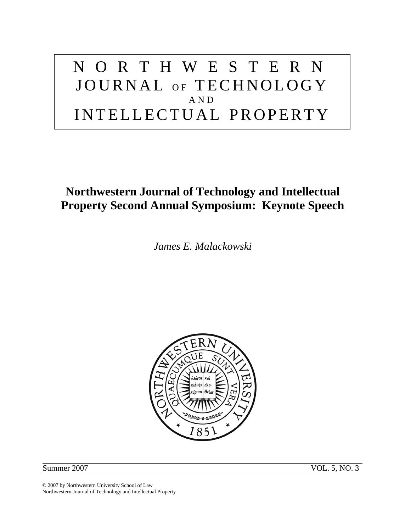# NORTHWESTERN JOURNAL OF TECHNOLOGY AND INTELLECTUAL PROPERTY

## **Northwestern Journal of Technology and Intellectual Property Second Annual Symposium: Keynote Speech**

*James E. Malackowski* 



Summer 2007 VOL. 5, NO. 3

© 2007 by Northwestern University School of Law Northwestern Journal of Technology and Intellectual Property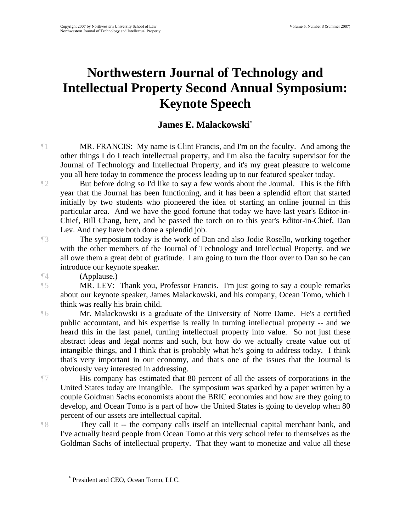## **Northwestern Journal of Technology and Intellectual Property Second Annual Symposium: Keynote Speech**

#### **James E. Malackowski[\\*](#page-2-0)**

¶1 MR. FRANCIS: My name is Clint Francis, and I'm on the faculty. And among the other things I do I teach intellectual property, and I'm also the faculty supervisor for the Journal of Technology and Intellectual Property, and it's my great pleasure to welcome you all here today to commence the process leading up to our featured speaker today.

¶2 But before doing so I'd like to say a few words about the Journal. This is the fifth year that the Journal has been functioning, and it has been a splendid effort that started initially by two students who pioneered the idea of starting an online journal in this particular area. And we have the good fortune that today we have last year's Editor-in-Chief, Bill Chang, here, and he passed the torch on to this year's Editor-in-Chief, Dan Lev. And they have both done a splendid job.

¶3 The symposium today is the work of Dan and also Jodie Rosello, working together with the other members of the Journal of Technology and Intellectual Property, and we all owe them a great debt of gratitude. I am going to turn the floor over to Dan so he can introduce our keynote speaker.

¶4 (Applause.)

¶5 MR. LEV: Thank you, Professor Francis. I'm just going to say a couple remarks about our keynote speaker, James Malackowski, and his company, Ocean Tomo, which I think was really his brain child.

¶6 Mr. Malackowski is a graduate of the University of Notre Dame. He's a certified public accountant, and his expertise is really in turning intellectual property -- and we heard this in the last panel, turning intellectual property into value. So not just these abstract ideas and legal norms and such, but how do we actually create value out of intangible things, and I think that is probably what he's going to address today. I think that's very important in our economy, and that's one of the issues that the Journal is obviously very interested in addressing.

\*

¶7 His company has estimated that 80 percent of all the assets of corporations in the United States today are intangible. The symposium was sparked by a paper written by a couple Goldman Sachs economists about the BRIC economies and how are they going to develop, and Ocean Tomo is a part of how the United States is going to develop when 80 percent of our assets are intellectual capital.

<span id="page-2-0"></span>¶8 They call it -- the company calls itself an intellectual capital merchant bank, and I've actually heard people from Ocean Tomo at this very school refer to themselves as the Goldman Sachs of intellectual property. That they want to monetize and value all these

President and CEO, Ocean Tomo, LLC.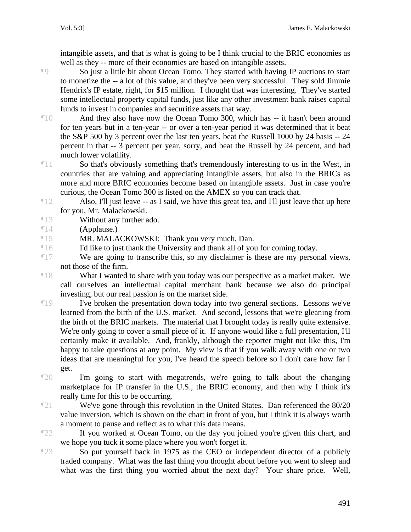intangible assets, and that is what is going to be I think crucial to the BRIC economies as well as they -- more of their economies are based on intangible assets.

¶9 So just a little bit about Ocean Tomo. They started with having IP auctions to start to monetize the -- a lot of this value, and they've been very successful. They sold Jimmie Hendrix's IP estate, right, for \$15 million. I thought that was interesting. They've started some intellectual property capital funds, just like any other investment bank raises capital funds to invest in companies and securitize assets that way.

¶10 And they also have now the Ocean Tomo 300, which has -- it hasn't been around for ten years but in a ten-year -- or over a ten-year period it was determined that it beat the S&P 500 by 3 percent over the last ten years, beat the Russell 1000 by 24 basis -- 24 percent in that -- 3 percent per year, sorry, and beat the Russell by 24 percent, and had much lower volatility.

 $\P11$  So that's obviously something that's tremendously interesting to us in the West, in countries that are valuing and appreciating intangible assets, but also in the BRICs as more and more BRIC economies become based on intangible assets. Just in case you're curious, the Ocean Tomo 300 is listed on the AMEX so you can track that.

- ¶12 Also, I'll just leave -- as I said, we have this great tea, and I'll just leave that up here for you, Mr. Malackowski.
- ¶13 Without any further ado.
- ¶14 (Applause.)

¶15 MR. MALACKOWSKI: Thank you very much, Dan.

¶16 I'd like to just thank the University and thank all of you for coming today.

¶17 We are going to transcribe this, so my disclaimer is these are my personal views, not those of the firm.

¶18 What I wanted to share with you today was our perspective as a market maker. We call ourselves an intellectual capital merchant bank because we also do principal investing, but our real passion is on the market side.

¶19 I've broken the presentation down today into two general sections. Lessons we've learned from the birth of the U.S. market. And second, lessons that we're gleaning from the birth of the BRIC markets. The material that I brought today is really quite extensive. We're only going to cover a small piece of it. If anyone would like a full presentation, I'll certainly make it available. And, frankly, although the reporter might not like this, I'm happy to take questions at any point. My view is that if you walk away with one or two ideas that are meaningful for you, I've heard the speech before so I don't care how far I get.

¶20 I'm going to start with megatrends, we're going to talk about the changing marketplace for IP transfer in the U.S., the BRIC economy, and then why I think it's really time for this to be occurring.

¶21 We've gone through this revolution in the United States. Dan referenced the 80/20 value inversion, which is shown on the chart in front of you, but I think it is always worth a moment to pause and reflect as to what this data means.

¶22 If you worked at Ocean Tomo, on the day you joined you're given this chart, and we hope you tuck it some place where you won't forget it.

¶23 So put yourself back in 1975 as the CEO or independent director of a publicly traded company. What was the last thing you thought about before you went to sleep and what was the first thing you worried about the next day? Your share price. Well,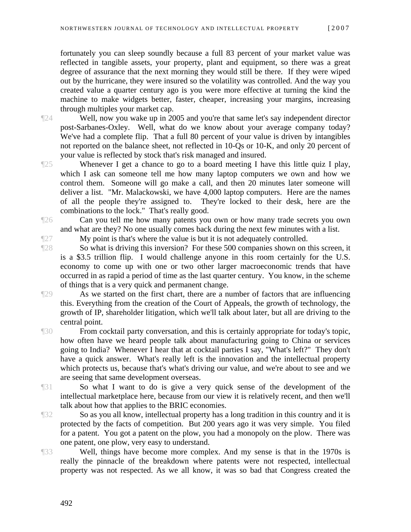fortunately you can sleep soundly because a full 83 percent of your market value was reflected in tangible assets, your property, plant and equipment, so there was a great degree of assurance that the next morning they would still be there. If they were wiped out by the hurricane, they were insured so the volatility was controlled. And the way you created value a quarter century ago is you were more effective at turning the kind the machine to make widgets better, faster, cheaper, increasing your margins, increasing through multiples your market cap.

¶24 Well, now you wake up in 2005 and you're that same let's say independent director post-Sarbanes-Oxley. Well, what do we know about your average company today? We've had a complete flip. That a full 80 percent of your value is driven by intangibles not reported on the balance sheet, not reflected in 10-Qs or 10-K, and only 20 percent of your value is reflected by stock that's risk managed and insured.

¶25 Whenever I get a chance to go to a board meeting I have this little quiz I play, which I ask can someone tell me how many laptop computers we own and how we control them. Someone will go make a call, and then 20 minutes later someone will deliver a list. "Mr. Malackowski, we have 4,000 laptop computers. Here are the names of all the people they're assigned to. They're locked to their desk, here are the combinations to the lock." That's really good.

¶26 Can you tell me how many patents you own or how many trade secrets you own and what are they? No one usually comes back during the next few minutes with a list.

¶27 My point is that's where the value is but it is not adequately controlled.

¶28 So what is driving this inversion? For these 500 companies shown on this screen, it is a \$3.5 trillion flip. I would challenge anyone in this room certainly for the U.S. economy to come up with one or two other larger macroeconomic trends that have occurred in as rapid a period of time as the last quarter century. You know, in the scheme of things that is a very quick and permanent change.

¶29 As we started on the first chart, there are a number of factors that are influencing this. Everything from the creation of the Court of Appeals, the growth of technology, the growth of IP, shareholder litigation, which we'll talk about later, but all are driving to the central point.

¶30 From cocktail party conversation, and this is certainly appropriate for today's topic, how often have we heard people talk about manufacturing going to China or services going to India? Whenever I hear that at cocktail parties I say, "What's left?" They don't have a quick answer. What's really left is the innovation and the intellectual property which protects us, because that's what's driving our value, and we're about to see and we are seeing that same development overseas.

¶31 So what I want to do is give a very quick sense of the development of the intellectual marketplace here, because from our view it is relatively recent, and then we'll talk about how that applies to the BRIC economies.

¶32 So as you all know, intellectual property has a long tradition in this country and it is protected by the facts of competition. But 200 years ago it was very simple. You filed for a patent. You got a patent on the plow, you had a monopoly on the plow. There was one patent, one plow, very easy to understand.

¶33 Well, things have become more complex. And my sense is that in the 1970s is really the pinnacle of the breakdown where patents were not respected, intellectual property was not respected. As we all know, it was so bad that Congress created the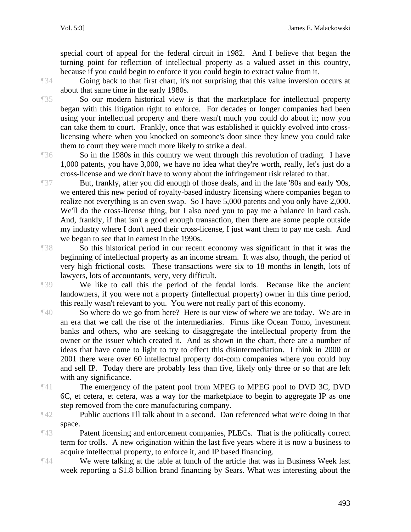special court of appeal for the federal circuit in 1982. And I believe that began the turning point for reflection of intellectual property as a valued asset in this country, because if you could begin to enforce it you could begin to extract value from it.

¶34 Going back to that first chart, it's not surprising that this value inversion occurs at about that same time in the early 1980s.

¶35 So our modern historical view is that the marketplace for intellectual property began with this litigation right to enforce. For decades or longer companies had been using your intellectual property and there wasn't much you could do about it; now you can take them to court. Frankly, once that was established it quickly evolved into crosslicensing where when you knocked on someone's door since they knew you could take them to court they were much more likely to strike a deal.

¶36 So in the 1980s in this country we went through this revolution of trading. I have 1,000 patents, you have 3,000, we have no idea what they're worth, really, let's just do a cross-license and we don't have to worry about the infringement risk related to that.

¶37 But, frankly, after you did enough of those deals, and in the late '80s and early '90s, we entered this new period of royalty-based industry licensing where companies began to realize not everything is an even swap. So I have 5,000 patents and you only have 2,000. We'll do the cross-license thing, but I also need you to pay me a balance in hard cash. And, frankly, if that isn't a good enough transaction, then there are some people outside my industry where I don't need their cross-license, I just want them to pay me cash. And we began to see that in earnest in the 1990s.

¶38 So this historical period in our recent economy was significant in that it was the beginning of intellectual property as an income stream. It was also, though, the period of very high frictional costs. These transactions were six to 18 months in length, lots of lawyers, lots of accountants, very, very difficult.

¶39 We like to call this the period of the feudal lords. Because like the ancient landowners, if you were not a property (intellectual property) owner in this time period, this really wasn't relevant to you. You were not really part of this economy.

- ¶40 So where do we go from here? Here is our view of where we are today. We are in an era that we call the rise of the intermediaries. Firms like Ocean Tomo, investment banks and others, who are seeking to disaggregate the intellectual property from the owner or the issuer which created it. And as shown in the chart, there are a number of ideas that have come to light to try to effect this disintermediation. I think in 2000 or 2001 there were over 60 intellectual property dot-com companies where you could buy and sell IP. Today there are probably less than five, likely only three or so that are left with any significance.
- 

 $\mathbb{Z}^{41}$  The emergency of the patent pool from MPEG to MPEG pool to DVD 3C, DVD 6C, et cetera, et cetera, was a way for the marketplace to begin to aggregate IP as one step removed from the core manufacturing company.

¶42 Public auctions I'll talk about in a second. Dan referenced what we're doing in that space.

¶43 Patent licensing and enforcement companies, PLECs. That is the politically correct term for trolls. A new origination within the last five years where it is now a business to acquire intellectual property, to enforce it, and IP based financing.

¶44 We were talking at the table at lunch of the article that was in Business Week last week reporting a \$1.8 billion brand financing by Sears. What was interesting about the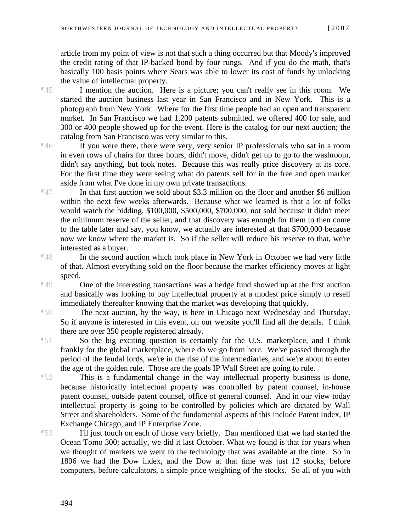article from my point of view is not that such a thing occurred but that Moody's improved the credit rating of that IP-backed bond by four rungs. And if you do the math, that's basically 100 basis points where Sears was able to lower its cost of funds by unlocking the value of intellectual property.

¶45 I mention the auction. Here is a picture; you can't really see in this room. We started the auction business last year in San Francisco and in New York. This is a photograph from New York. Where for the first time people had an open and transparent market. In San Francisco we had 1,200 patents submitted, we offered 400 for sale, and 300 or 400 people showed up for the event. Here is the catalog for our next auction; the catalog from San Francisco was very similar to this.

¶46 If you were there, there were very, very senior IP professionals who sat in a room in even rows of chairs for three hours, didn't move, didn't get up to go to the washroom, didn't say anything, but took notes. Because this was really price discovery at its core. For the first time they were seeing what do patents sell for in the free and open market aside from what I've done in my own private transactions.

¶47 In that first auction we sold about \$3.3 million on the floor and another \$6 million within the next few weeks afterwards. Because what we learned is that a lot of folks would watch the bidding, \$100,000, \$500,000, \$700,000, not sold because it didn't meet the minimum reserve of the seller, and that discovery was enough for them to then come to the table later and say, you know, we actually are interested at that \$700,000 because now we know where the market is. So if the seller will reduce his reserve to that, we're interested as a buyer.

¶48 In the second auction which took place in New York in October we had very little of that. Almost everything sold on the floor because the market efficiency moves at light speed.

¶49 One of the interesting transactions was a hedge fund showed up at the first auction and basically was looking to buy intellectual property at a modest price simply to resell immediately thereafter knowing that the market was developing that quickly.

¶50 The next auction, by the way, is here in Chicago next Wednesday and Thursday. So if anyone is interested in this event, on our website you'll find all the details. I think there are over 350 people registered already.

¶51 So the big exciting question is certainly for the U.S. marketplace, and I think frankly for the global marketplace, where do we go from here. We've passed through the period of the feudal lords, we're in the rise of the intermediaries, and we're about to enter the age of the golden rule. Those are the goals IP Wall Street are going to rule.

¶52 This is a fundamental change in the way intellectual property business is done, because historically intellectual property was controlled by patent counsel, in-house patent counsel, outside patent counsel, office of general counsel. And in our view today intellectual property is going to be controlled by policies which are dictated by Wall Street and shareholders. Some of the fundamental aspects of this include Patent Index, IP Exchange Chicago, and IP Enterprise Zone.

¶53 I'll just touch on each of those very briefly. Dan mentioned that we had started the Ocean Tomo 300; actually, we did it last October. What we found is that for years when we thought of markets we went to the technology that was available at the time. So in 1896 we had the Dow index, and the Dow at that time was just 12 stocks, before computers, before calculators, a simple price weighting of the stocks. So all of you with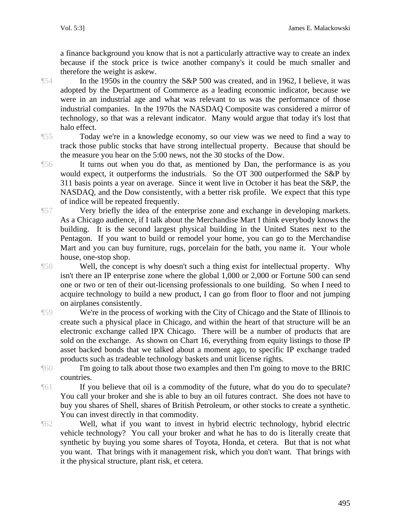a finance background you know that is not a particularly attractive way to create an index because if the stock price is twice another company's it could be much smaller and therefore the weight is askew.

¶54 In the 1950s in the country the S&P 500 was created, and in 1962, I believe, it was adopted by the Department of Commerce as a leading economic indicator, because we were in an industrial age and what was relevant to us was the performance of those industrial companies. In the 1970s the NASDAQ Composite was considered a mirror of technology, so that was a relevant indicator. Many would argue that today it's lost that halo effect.

¶55 Today we're in a knowledge economy, so our view was we need to find a way to track those public stocks that have strong intellectual property. Because that should be the measure you hear on the 5:00 news, not the 30 stocks of the Dow.

¶56 It turns out when you do that, as mentioned by Dan, the performance is as you would expect, it outperforms the industrials. So the OT 300 outperformed the S&P by 311 basis points a year on average. Since it went live in October it has beat the S&P, the NASDAQ, and the Dow consistently, with a better risk profile. We expect that this type of indice will be repeated frequently.

¶57 Very briefly the idea of the enterprise zone and exchange in developing markets. As a Chicago audience, if I talk about the Merchandise Mart I think everybody knows the building. It is the second largest physical building in the United States next to the Pentagon. If you want to build or remodel your home, you can go to the Merchandise Mart and you can buy furniture, rugs, porcelain for the bath, you name it. Your whole house, one-stop shop.

¶58 Well, the concept is why doesn't such a thing exist for intellectual property. Why isn't there an IP enterprise zone where the global 1,000 or 2,000 or Fortune 500 can send one or two or ten of their out-licensing professionals to one building. So when I need to acquire technology to build a new product, I can go from floor to floor and not jumping on airplanes consistently.

¶59 We're in the process of working with the City of Chicago and the State of Illinois to create such a physical place in Chicago, and within the heart of that structure will be an electronic exchange called IPX Chicago. There will be a number of products that are sold on the exchange. As shown on Chart 16, everything from equity listings to those IP asset backed bonds that we talked about a moment ago, to specific IP exchange traded products such as tradeable technology baskets and unit license rights.

¶60 I'm going to talk about those two examples and then I'm going to move to the BRIC countries.

¶61 If you believe that oil is a commodity of the future, what do you do to speculate? You call your broker and she is able to buy an oil futures contract. She does not have to buy you shares of Shell, shares of British Petroleum, or other stocks to create a synthetic. You can invest directly in that commodity.

¶62 Well, what if you want to invest in hybrid electric technology, hybrid electric vehicle technology? You call your broker and what he has to do is literally create that synthetic by buying you some shares of Toyota, Honda, et cetera. But that is not what you want. That brings with it management risk, which you don't want. That brings with it the physical structure, plant risk, et cetera.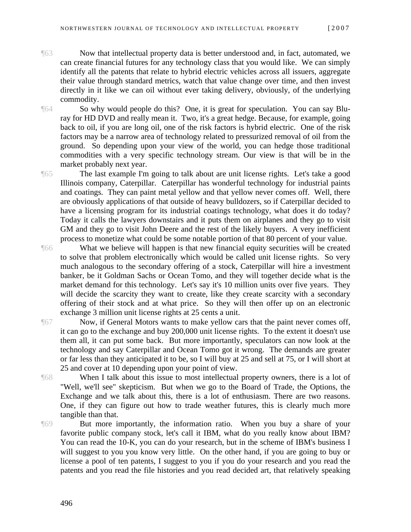¶63 Now that intellectual property data is better understood and, in fact, automated, we can create financial futures for any technology class that you would like. We can simply identify all the patents that relate to hybrid electric vehicles across all issuers, aggregate their value through standard metrics, watch that value change over time, and then invest directly in it like we can oil without ever taking delivery, obviously, of the underlying commodity.

¶64 So why would people do this? One, it is great for speculation. You can say Bluray for HD DVD and really mean it. Two, it's a great hedge. Because, for example, going back to oil, if you are long oil, one of the risk factors is hybrid electric. One of the risk factors may be a narrow area of technology related to pressurized removal of oil from the ground. So depending upon your view of the world, you can hedge those traditional commodities with a very specific technology stream. Our view is that will be in the market probably next year.

¶65 The last example I'm going to talk about are unit license rights. Let's take a good Illinois company, Caterpillar. Caterpillar has wonderful technology for industrial paints and coatings. They can paint metal yellow and that yellow never comes off. Well, there are obviously applications of that outside of heavy bulldozers, so if Caterpillar decided to have a licensing program for its industrial coatings technology, what does it do today? Today it calls the lawyers downstairs and it puts them on airplanes and they go to visit GM and they go to visit John Deere and the rest of the likely buyers. A very inefficient process to monetize what could be some notable portion of that 80 percent of your value.

¶66 What we believe will happen is that new financial equity securities will be created to solve that problem electronically which would be called unit license rights. So very much analogous to the secondary offering of a stock, Caterpillar will hire a investment banker, be it Goldman Sachs or Ocean Tomo, and they will together decide what is the market demand for this technology. Let's say it's 10 million units over five years. They will decide the scarcity they want to create, like they create scarcity with a secondary offering of their stock and at what price. So they will then offer up on an electronic exchange 3 million unit license rights at 25 cents a unit.

¶67 Now, if General Motors wants to make yellow cars that the paint never comes off, it can go to the exchange and buy 200,000 unit license rights. To the extent it doesn't use them all, it can put some back. But more importantly, speculators can now look at the technology and say Caterpillar and Ocean Tomo got it wrong. The demands are greater or far less than they anticipated it to be, so I will buy at 25 and sell at 75, or I will short at 25 and cover at 10 depending upon your point of view.

¶68 When I talk about this issue to most intellectual property owners, there is a lot of "Well, we'll see" skepticism. But when we go to the Board of Trade, the Options, the Exchange and we talk about this, there is a lot of enthusiasm. There are two reasons. One, if they can figure out how to trade weather futures, this is clearly much more tangible than that.

¶69 But more importantly, the information ratio. When you buy a share of your favorite public company stock, let's call it IBM, what do you really know about IBM? You can read the 10-K, you can do your research, but in the scheme of IBM's business I will suggest to you you know very little. On the other hand, if you are going to buy or license a pool of ten patents, I suggest to you if you do your research and you read the patents and you read the file histories and you read decided art, that relatively speaking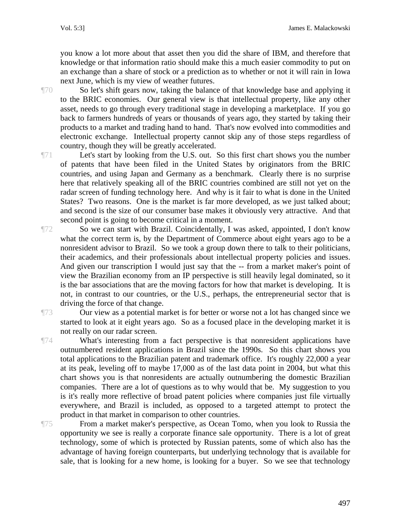you know a lot more about that asset then you did the share of IBM, and therefore that knowledge or that information ratio should make this a much easier commodity to put on an exchange than a share of stock or a prediction as to whether or not it will rain in Iowa next June, which is my view of weather futures.

¶70 So let's shift gears now, taking the balance of that knowledge base and applying it to the BRIC economies. Our general view is that intellectual property, like any other asset, needs to go through every traditional stage in developing a marketplace. If you go back to farmers hundreds of years or thousands of years ago, they started by taking their products to a market and trading hand to hand. That's now evolved into commodities and electronic exchange. Intellectual property cannot skip any of those steps regardless of country, though they will be greatly accelerated.

¶71 Let's start by looking from the U.S. out. So this first chart shows you the number of patents that have been filed in the United States by originators from the BRIC countries, and using Japan and Germany as a benchmark. Clearly there is no surprise here that relatively speaking all of the BRIC countries combined are still not yet on the radar screen of funding technology here. And why is it fair to what is done in the United States? Two reasons. One is the market is far more developed, as we just talked about; and second is the size of our consumer base makes it obviously very attractive. And that second point is going to become critical in a moment.

¶72 So we can start with Brazil. Coincidentally, I was asked, appointed, I don't know what the correct term is, by the Department of Commerce about eight years ago to be a nonresident advisor to Brazil. So we took a group down there to talk to their politicians, their academics, and their professionals about intellectual property policies and issues. And given our transcription I would just say that the -- from a market maker's point of view the Brazilian economy from an IP perspective is still heavily legal dominated, so it is the bar associations that are the moving factors for how that market is developing. It is not, in contrast to our countries, or the U.S., perhaps, the entrepreneurial sector that is driving the force of that change.

¶73 Our view as a potential market is for better or worse not a lot has changed since we started to look at it eight years ago. So as a focused place in the developing market it is not really on our radar screen.

¶74 What's interesting from a fact perspective is that nonresident applications have outnumbered resident applications in Brazil since the 1990s. So this chart shows you total applications to the Brazilian patent and trademark office. It's roughly 22,000 a year at its peak, leveling off to maybe 17,000 as of the last data point in 2004, but what this chart shows you is that nonresidents are actually outnumbering the domestic Brazilian companies. There are a lot of questions as to why would that be. My suggestion to you is it's really more reflective of broad patent policies where companies just file virtually everywhere, and Brazil is included, as opposed to a targeted attempt to protect the product in that market in comparison to other countries.

¶75 From a market maker's perspective, as Ocean Tomo, when you look to Russia the opportunity we see is really a corporate finance sale opportunity. There is a lot of great technology, some of which is protected by Russian patents, some of which also has the advantage of having foreign counterparts, but underlying technology that is available for sale, that is looking for a new home, is looking for a buyer. So we see that technology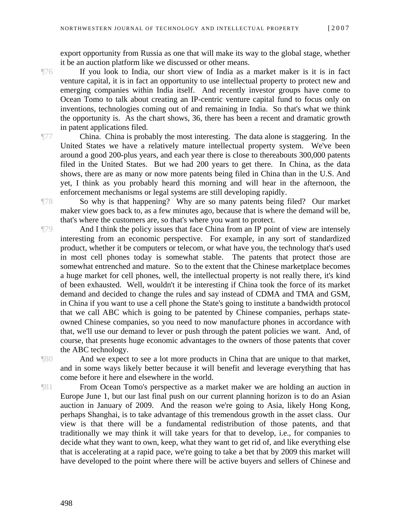export opportunity from Russia as one that will make its way to the global stage, whether it be an auction platform like we discussed or other means.

¶76 If you look to India, our short view of India as a market maker is it is in fact venture capital, it is in fact an opportunity to use intellectual property to protect new and emerging companies within India itself. And recently investor groups have come to Ocean Tomo to talk about creating an IP-centric venture capital fund to focus only on inventions, technologies coming out of and remaining in India. So that's what we think the opportunity is. As the chart shows, 36, there has been a recent and dramatic growth in patent applications filed.

¶77 China. China is probably the most interesting. The data alone is staggering. In the United States we have a relatively mature intellectual property system. We've been around a good 200-plus years, and each year there is close to thereabouts 300,000 patents filed in the United States. But we had 200 years to get there. In China, as the data shows, there are as many or now more patents being filed in China than in the U.S. And yet, I think as you probably heard this morning and will hear in the afternoon, the enforcement mechanisms or legal systems are still developing rapidly.

¶78 So why is that happening? Why are so many patents being filed? Our market maker view goes back to, as a few minutes ago, because that is where the demand will be, that's where the customers are, so that's where you want to protect.

¶79 And I think the policy issues that face China from an IP point of view are intensely interesting from an economic perspective. For example, in any sort of standardized product, whether it be computers or telecom, or what have you, the technology that's used in most cell phones today is somewhat stable. The patents that protect those are somewhat entrenched and mature. So to the extent that the Chinese marketplace becomes a huge market for cell phones, well, the intellectual property is not really there, it's kind of been exhausted. Well, wouldn't it be interesting if China took the force of its market demand and decided to change the rules and say instead of CDMA and TMA and GSM, in China if you want to use a cell phone the State's going to institute a bandwidth protocol that we call ABC which is going to be patented by Chinese companies, perhaps stateowned Chinese companies, so you need to now manufacture phones in accordance with that, we'll use our demand to lever or push through the patent policies we want. And, of course, that presents huge economic advantages to the owners of those patents that cover the ABC technology.

¶80 And we expect to see a lot more products in China that are unique to that market, and in some ways likely better because it will benefit and leverage everything that has come before it here and elsewhere in the world.

¶81 From Ocean Tomo's perspective as a market maker we are holding an auction in Europe June 1, but our last final push on our current planning horizon is to do an Asian auction in January of 2009. And the reason we're going to Asia, likely Hong Kong, perhaps Shanghai, is to take advantage of this tremendous growth in the asset class. Our view is that there will be a fundamental redistribution of those patents, and that traditionally we may think it will take years for that to develop, i.e., for companies to decide what they want to own, keep, what they want to get rid of, and like everything else that is accelerating at a rapid pace, we're going to take a bet that by 2009 this market will have developed to the point where there will be active buyers and sellers of Chinese and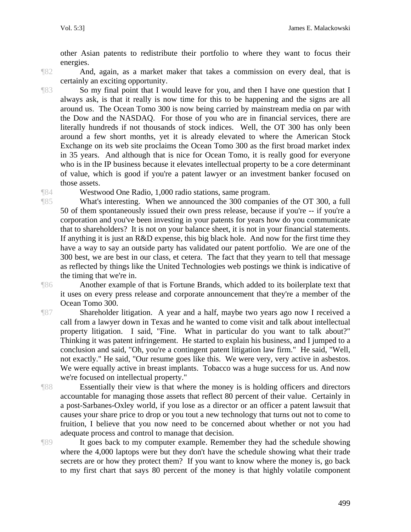other Asian patents to redistribute their portfolio to where they want to focus their energies.

¶82 And, again, as a market maker that takes a commission on every deal, that is certainly an exciting opportunity.

¶83 So my final point that I would leave for you, and then I have one question that I always ask, is that it really is now time for this to be happening and the signs are all around us. The Ocean Tomo 300 is now being carried by mainstream media on par with the Dow and the NASDAQ. For those of you who are in financial services, there are literally hundreds if not thousands of stock indices. Well, the OT 300 has only been around a few short months, yet it is already elevated to where the American Stock Exchange on its web site proclaims the Ocean Tomo 300 as the first broad market index in 35 years. And although that is nice for Ocean Tomo, it is really good for everyone who is in the IP business because it elevates intellectual property to be a core determinant of value, which is good if you're a patent lawyer or an investment banker focused on those assets.

¶84 Westwood One Radio, 1,000 radio stations, same program.

¶85 What's interesting. When we announced the 300 companies of the OT 300, a full 50 of them spontaneously issued their own press release, because if you're -- if you're a corporation and you've been investing in your patents for years how do you communicate that to shareholders? It is not on your balance sheet, it is not in your financial statements. If anything it is just an R&D expense, this big black hole. And now for the first time they have a way to say an outside party has validated our patent portfolio. We are one of the 300 best, we are best in our class, et cetera. The fact that they yearn to tell that message as reflected by things like the United Technologies web postings we think is indicative of the timing that we're in.

¶86 Another example of that is Fortune Brands, which added to its boilerplate text that it uses on every press release and corporate announcement that they're a member of the Ocean Tomo 300.

¶87 Shareholder litigation. A year and a half, maybe two years ago now I received a call from a lawyer down in Texas and he wanted to come visit and talk about intellectual property litigation. I said, "Fine. What in particular do you want to talk about?" Thinking it was patent infringement. He started to explain his business, and I jumped to a conclusion and said, "Oh, you're a contingent patent litigation law firm." He said, "Well, not exactly." He said, "Our resume goes like this. We were very, very active in asbestos. We were equally active in breast implants. Tobacco was a huge success for us. And now we're focused on intellectual property."

¶88 Essentially their view is that where the money is is holding officers and directors accountable for managing those assets that reflect 80 percent of their value. Certainly in a post-Sarbanes-Oxley world, if you lose as a director or an officer a patent lawsuit that causes your share price to drop or you tout a new technology that turns out not to come to fruition, I believe that you now need to be concerned about whether or not you had adequate process and control to manage that decision.

¶89 It goes back to my computer example. Remember they had the schedule showing where the 4,000 laptops were but they don't have the schedule showing what their trade secrets are or how they protect them? If you want to know where the money is, go back to my first chart that says 80 percent of the money is that highly volatile component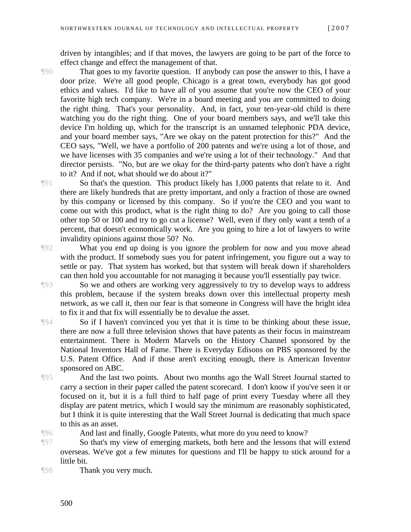driven by intangibles; and if that moves, the lawyers are going to be part of the force to effect change and effect the management of that.

¶90 That goes to my favorite question. If anybody can pose the answer to this, I have a door prize. We're all good people, Chicago is a great town, everybody has got good ethics and values. I'd like to have all of you assume that you're now the CEO of your favorite high tech company. We're in a board meeting and you are committed to doing the right thing. That's your personality. And, in fact, your ten-year-old child is there watching you do the right thing. One of your board members says, and we'll take this device I'm holding up, which for the transcript is an unnamed telephonic PDA device, and your board member says, "Are we okay on the patent protection for this?" And the CEO says, "Well, we have a portfolio of 200 patents and we're using a lot of those, and we have licenses with 35 companies and we're using a lot of their technology." And that director persists. "No, but are we okay for the third-party patents who don't have a right to it? And if not, what should we do about it?"

¶91 So that's the question. This product likely has 1,000 patents that relate to it. And there are likely hundreds that are pretty important, and only a fraction of those are owned by this company or licensed by this company. So if you're the CEO and you want to come out with this product, what is the right thing to do? Are you going to call those other top 50 or 100 and try to go cut a license? Well, even if they only want a tenth of a percent, that doesn't economically work. Are you going to hire a lot of lawyers to write invalidity opinions against those 50? No.

¶92 What you end up doing is you ignore the problem for now and you move ahead with the product. If somebody sues you for patent infringement, you figure out a way to settle or pay. That system has worked, but that system will break down if shareholders can then hold you accountable for not managing it because you'll essentially pay twice.

¶93 So we and others are working very aggressively to try to develop ways to address this problem, because if the system breaks down over this intellectual property mesh network, as we call it, then our fear is that someone in Congress will have the bright idea to fix it and that fix will essentially be to devalue the asset.

¶94 So if I haven't convinced you yet that it is time to be thinking about these issue, there are now a full three television shows that have patents as their focus in mainstream entertainment. There is Modern Marvels on the History Channel sponsored by the National Inventors Hall of Fame. There is Everyday Edisons on PBS sponsored by the U.S. Patent Office. And if those aren't exciting enough, there is American Inventor sponsored on ABC.

¶95 And the last two points. About two months ago the Wall Street Journal started to carry a section in their paper called the patent scorecard. I don't know if you've seen it or focused on it, but it is a full third to half page of print every Tuesday where all they display are patent metrics, which I would say the minimum are reasonably sophisticated, but I think it is quite interesting that the Wall Street Journal is dedicating that much space to this as an asset.

¶96 And last and finally, Google Patents, what more do you need to know?

¶97 So that's my view of emerging markets, both here and the lessons that will extend overseas. We've got a few minutes for questions and I'll be happy to stick around for a little bit.

¶98 Thank you very much.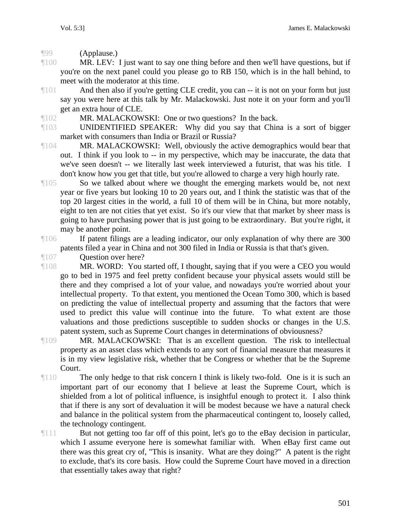¶99 (Applause.)

¶100 MR. LEV: I just want to say one thing before and then we'll have questions, but if you're on the next panel could you please go to RB 150, which is in the hall behind, to meet with the moderator at this time.

¶101 And then also if you're getting CLE credit, you can -- it is not on your form but just say you were here at this talk by Mr. Malackowski. Just note it on your form and you'll get an extra hour of CLE.

¶102 MR. MALACKOWSKI: One or two questions? In the back.

¶103 UNIDENTIFIED SPEAKER: Why did you say that China is a sort of bigger market with consumers than India or Brazil or Russia?

¶104 MR. MALACKOWSKI: Well, obviously the active demographics would bear that out. I think if you look to -- in my perspective, which may be inaccurate, the data that we've seen doesn't -- we literally last week interviewed a futurist, that was his title. I don't know how you get that title, but you're allowed to charge a very high hourly rate.

¶105 So we talked about where we thought the emerging markets would be, not next year or five years but looking 10 to 20 years out, and I think the statistic was that of the top 20 largest cities in the world, a full 10 of them will be in China, but more notably, eight to ten are not cities that yet exist. So it's our view that that market by sheer mass is going to have purchasing power that is just going to be extraordinary. But you're right, it may be another point.

¶106 If patent filings are a leading indicator, our only explanation of why there are 300 patents filed a year in China and not 300 filed in India or Russia is that that's given.

¶107 Question over here?

¶108 MR. WORD: You started off, I thought, saying that if you were a CEO you would go to bed in 1975 and feel pretty confident because your physical assets would still be there and they comprised a lot of your value, and nowadays you're worried about your intellectual property. To that extent, you mentioned the Ocean Tomo 300, which is based on predicting the value of intellectual property and assuming that the factors that were used to predict this value will continue into the future. To what extent are those valuations and those predictions susceptible to sudden shocks or changes in the U.S. patent system, such as Supreme Court changes in determinations of obviousness?

¶109 MR. MALACKOWSKI: That is an excellent question. The risk to intellectual property as an asset class which extends to any sort of financial measure that measures it is in my view legislative risk, whether that be Congress or whether that be the Supreme Court.

¶110 The only hedge to that risk concern I think is likely two-fold. One is it is such an important part of our economy that I believe at least the Supreme Court, which is shielded from a lot of political influence, is insightful enough to protect it. I also think that if there is any sort of devaluation it will be modest because we have a natural check and balance in the political system from the pharmaceutical contingent to, loosely called, the technology contingent.

¶111 But not getting too far off of this point, let's go to the eBay decision in particular, which I assume everyone here is somewhat familiar with. When eBay first came out there was this great cry of, "This is insanity. What are they doing?" A patent is the right to exclude, that's its core basis. How could the Supreme Court have moved in a direction that essentially takes away that right?